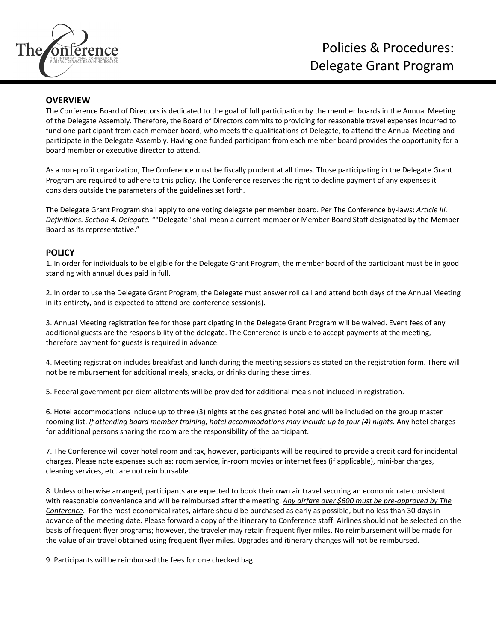

## **OVERVIEW**

The Conference Board of Directors is dedicated to the goal of full participation by the member boards in the Annual Meeting of the Delegate Assembly. Therefore, the Board of Directors commits to providing for reasonable travel expenses incurred to fund one participant from each member board, who meets the qualifications of Delegate, to attend the Annual Meeting and participate in the Delegate Assembly. Having one funded participant from each member board provides the opportunity for a board member or executive director to attend.

As a non‐profit organization, The Conference must be fiscally prudent at all times. Those participating in the Delegate Grant Program are required to adhere to this policy. The Conference reserves the right to decline payment of any expenses it considers outside the parameters of the guidelines set forth.

The Delegate Grant Program shall apply to one voting delegate per member board. Per The Conference by‐laws: *Article III. Definitions. Section 4. Delegate.* ""Delegate" shall mean a current member or Member Board Staff designated by the Member Board as its representative."

## **POLICY**

1. In order for individuals to be eligible for the Delegate Grant Program, the member board of the participant must be in good standing with annual dues paid in full.

2. In order to use the Delegate Grant Program, the Delegate must answer roll call and attend both days of the Annual Meeting in its entirety, and is expected to attend pre‐conference session(s).

3. Annual Meeting registration fee for those participating in the Delegate Grant Program will be waived. Event fees of any additional guests are the responsibility of the delegate. The Conference is unable to accept payments at the meeting, therefore payment for guests is required in advance.

4. Meeting registration includes breakfast and lunch during the meeting sessions as stated on the registration form. There will not be reimbursement for additional meals, snacks, or drinks during these times.

5. Federal government per diem allotments will be provided for additional meals not included in registration.

6. Hotel accommodations include up to three (3) nights at the designated hotel and will be included on the group master rooming list. *If attending board member training, hotel accommodations may include up to four (4) nights.* Any hotel charges for additional persons sharing the room are the responsibility of the participant.

7. The Conference will cover hotel room and tax, however, participants will be required to provide a credit card for incidental charges. Please note expenses such as: room service, in‐room movies or internet fees (if applicable), mini‐bar charges, cleaning services, etc. are not reimbursable.

8. Unless otherwise arranged, participants are expected to book their own air travel securing an economic rate consistent with reasonable convenience and will be reimbursed after the meeting. *Any airfare over \$600 must be pre‐approved by The Conference*. For the most economical rates, airfare should be purchased as early as possible, but no less than 30 days in advance of the meeting date. Please forward a copy of the itinerary to Conference staff. Airlines should not be selected on the basis of frequent flyer programs; however, the traveler may retain frequent flyer miles. No reimbursement will be made for the value of air travel obtained using frequent flyer miles. Upgrades and itinerary changes will not be reimbursed.

9. Participants will be reimbursed the fees for one checked bag.